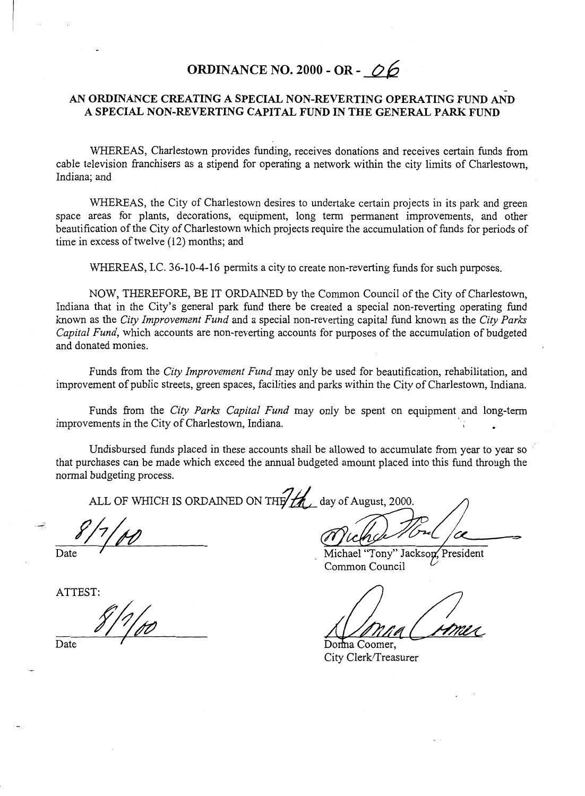## **ORDINANCE NO. 2000** - **OR** - *06*

## - *AN* **ORDINANCE CREATING A SPECIAL NON-REVERTING OPERATING FUND** AND **A SPECIAL NON-REVERTING CAPITAL FUND IN THE GENERAL PARK FUND**

WHEREAS, Charlestown provides funding, receives donations and receives certain funds from cable television franchisers as a stipend for operating a network within the city limits of Charlestown, Indiana; and

WHEREAS, the City of Charlestown desires to undertake certain projects in its park and green space areas for plants, decorations, equipment, long term permanent improvements, and other beautification of the City of Charlestown which projects require the accumulation of funds for periods of time in excess of twelve (12) months; and

WHEREAS, I.C. 36-10-4-16 permits a city to create non-reverting funds for such purposes.

NOW, THEREFORE, BE IT ORDAINED by the Common Council of the City of Charlestown, Indiana that in the City's general park fund there be created a special non-reverting operating fund known as the *City Improvement Fund* and a special non-reverting capital fund known as the *City Parks Capital Fund,* which accounts are non-reverting accounts for purposes of the accumulation of budgeted and donated monies.

Funds from the *City Improvement Fund* may only be used for beautification, rehabilitation, and improvement of public streets, green spaces, facilities and parks within the City of Charlestown, Indiana.

Funds from the *City Parks Capita2 Fund* may only be spent on equipment and long-term improvements in the City of Charlestown, Indiana. **<sup>I</sup>**

Undisbursed funds placed in these accounts shall be allowed to accumulate from year to year so that purchases can be made which exceed the annual budgeted amount placed into this fund through the normal budgeting process.

ALL OF WHICH IS ORDAINED ON THE the day of August, 2000.

*8/7/00 Called Council Called Common Council Common Council Common Council* 

Donna Coomer, City Clerk/Treasurer

ATTEST:

Date